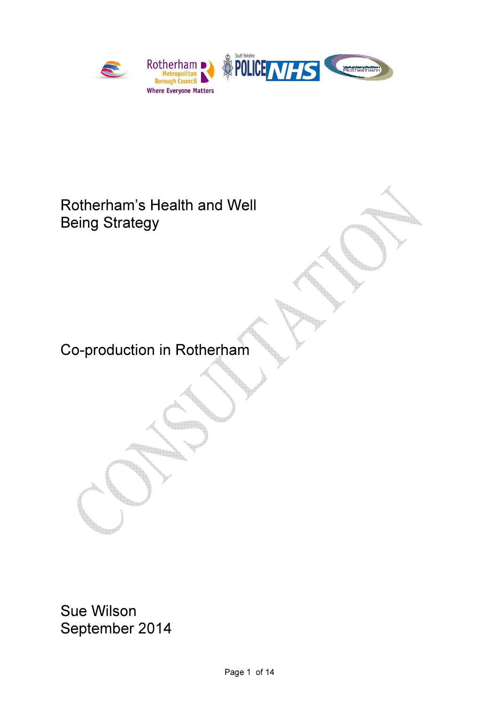

# Rotherham's Health and Well Being Strategy

Co-production in Rotherham

<u>Time</u>

Sue Wilson September 2014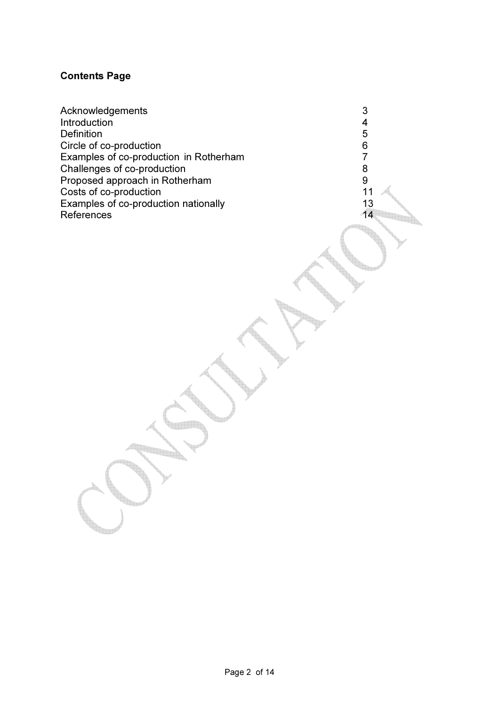# Contents Page

Acknowledgements 3<br>
Introduction 4 Introduction 4<br>Definition 5 Definition 5<br>Circle of co-production 6 Circle of co-production<br>Examples of co-production in Rotherham<br>7 Examples of co-production in Rotherham 7 Solution Challenges of co-production<br>  $\begin{array}{ccc} 8 \\ \text{Proposed approach in Rotherham} \end{array}$ Proposed approach in Rotherham<br>
Costs of co-production<br>
11 Costs of co-production Examples of co-production nationally 13<br>References 14 References

e<br>Tali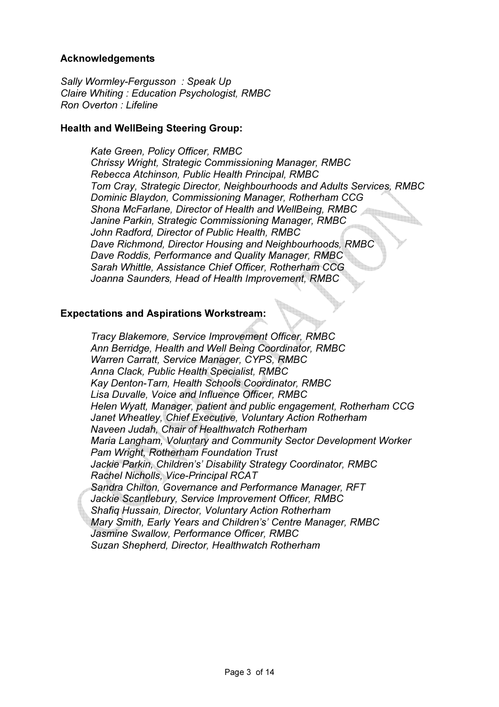### Acknowledgements

Sally Wormley-Fergusson: Speak Up Claire Whiting : Education Psychologist, RMBC Ron Overton : Lifeline

#### Health and WellBeing Steering Group:

Kate Green, Policy Officer, RMBC Chrissy Wright, Strategic Commissioning Manager, RMBC Rebecca Atchinson, Public Health Principal, RMBC Tom Cray, Strategic Director, Neighbourhoods and Adults Services, RMBC Dominic Blaydon, Commissioning Manager, Rotherham CCG Shona McFarlane, Director of Health and WellBeing, RMBC Janine Parkin, Strategic Commissioning Manager, RMBC John Radford, Director of Public Health, RMBC Dave Richmond, Director Housing and Neighbourhoods, RMBC Dave Roddis, Performance and Quality Manager, RMBC Sarah Whittle, Assistance Chief Officer, Rotherham CCG Joanna Saunders, Head of Health Improvement, RMBC

#### Expectations and Aspirations Workstream:

Tracy Blakemore, Service Improvement Officer, RMBC Ann Berridge, Health and Well Being Coordinator, RMBC Warren Carratt, Service Manager, CYPS, RMBC Anna Clack, Public Health Specialist, RMBC Kay Denton-Tarn, Health Schools Coordinator, RMBC Lisa Duvalle, Voice and Influence Officer, RMBC Helen Wyatt, Manager, patient and public engagement, Rotherham CCG Janet Wheatley, Chief Executive, Voluntary Action Rotherham Naveen Judah, Chair of Healthwatch Rotherham Maria Langham, Voluntary and Community Sector Development Worker Pam Wright, Rotherham Foundation Trust Jackie Parkin, Children's' Disability Strategy Coordinator, RMBC Rachel Nicholls, Vice-Principal RCAT Sandra Chilton, Governance and Performance Manager, RFT Jackie Scantlebury, Service Improvement Officer, RMBC Shafiq Hussain, Director, Voluntary Action Rotherham Mary Smith, Early Years and Children's' Centre Manager, RMBC Jasmine Swallow, Performance Officer, RMBC Suzan Shepherd, Director, Healthwatch Rotherham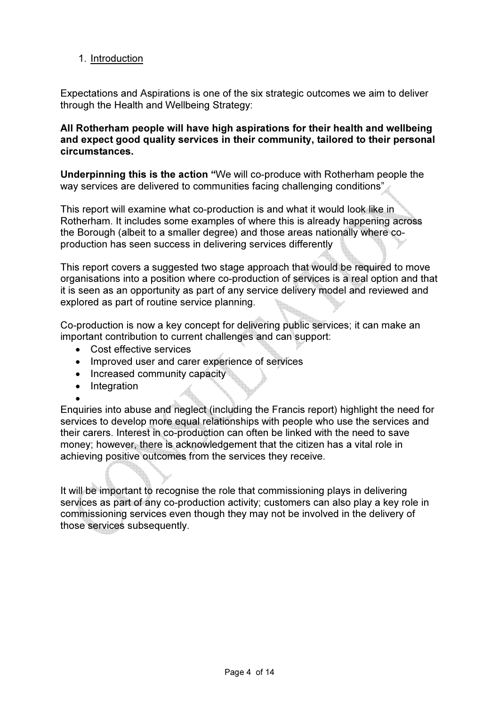# 1. Introduction

Expectations and Aspirations is one of the six strategic outcomes we aim to deliver through the Health and Wellbeing Strategy:

#### All Rotherham people will have high aspirations for their health and wellbeing and expect good quality services in their community, tailored to their personal circumstances.

Underpinning this is the action "We will co-produce with Rotherham people the way services are delivered to communities facing challenging conditions"

This report will examine what co-production is and what it would look like in Rotherham. It includes some examples of where this is already happening across the Borough (albeit to a smaller degree) and those areas nationally where coproduction has seen success in delivering services differently

This report covers a suggested two stage approach that would be required to move organisations into a position where co-production of services is a real option and that it is seen as an opportunity as part of any service delivery model and reviewed and explored as part of routine service planning.

Co-production is now a key concept for delivering public services; it can make an important contribution to current challenges and can support:

- Cost effective services
- Improved user and carer experience of services
- Increased community capacity
- Integration

• Enquiries into abuse and neglect (including the Francis report) highlight the need for services to develop more equal relationships with people who use the services and their carers. Interest in co-production can often be linked with the need to save money; however, there is acknowledgement that the citizen has a vital role in achieving positive outcomes from the services they receive.

It will be important to recognise the role that commissioning plays in delivering services as part of any co-production activity; customers can also play a key role in commissioning services even though they may not be involved in the delivery of those services subsequently.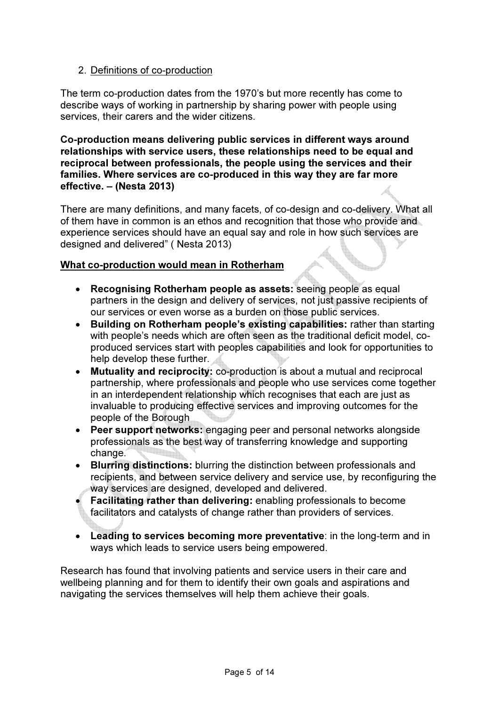# 2. Definitions of co-production

The term co-production dates from the 1970's but more recently has come to describe ways of working in partnership by sharing power with people using services, their carers and the wider citizens.

Co-production means delivering public services in different ways around relationships with service users, these relationships need to be equal and reciprocal between professionals, the people using the services and their families. Where services are co-produced in this way they are far more effective. – (Nesta 2013)

There are many definitions, and many facets, of co-design and co-delivery. What all of them have in common is an ethos and recognition that those who provide and experience services should have an equal say and role in how such services are designed and delivered" ( Nesta 2013)

# What co-production would mean in Rotherham

- Recognising Rotherham people as assets: seeing people as equal partners in the design and delivery of services, not just passive recipients of our services or even worse as a burden on those public services.
- Building on Rotherham people's existing capabilities: rather than starting with people's needs which are often seen as the traditional deficit model, coproduced services start with peoples capabilities and look for opportunities to help develop these further.
- Mutuality and reciprocity: co-production is about a mutual and reciprocal partnership, where professionals and people who use services come together in an interdependent relationship which recognises that each are just as invaluable to producing effective services and improving outcomes for the people of the Borough
- Peer support networks: engaging peer and personal networks alongside professionals as the best way of transferring knowledge and supporting change.
- Blurring distinctions: blurring the distinction between professionals and recipients, and between service delivery and service use, by reconfiguring the way services are designed, developed and delivered.
- Facilitating rather than delivering: enabling professionals to become facilitators and catalysts of change rather than providers of services.
- Leading to services becoming more preventative: in the long-term and in ways which leads to service users being empowered.

Research has found that involving patients and service users in their care and wellbeing planning and for them to identify their own goals and aspirations and navigating the services themselves will help them achieve their goals.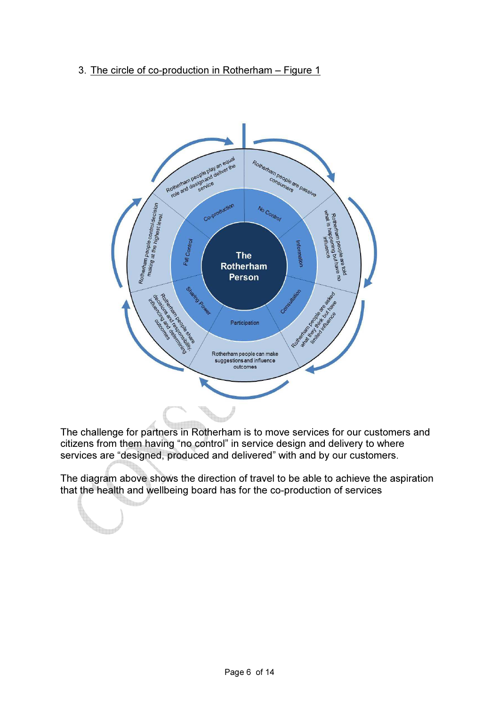3. The circle of co-production in Rotherham – Figure 1



The challenge for partners in Rotherham is to move services for our customers and citizens from them having "no control" in service design and delivery to where services are "designed, produced and delivered" with and by our customers.

The diagram above shows the direction of travel to be able to achieve the aspiration that the health and wellbeing board has for the co-production of services

**Service Service**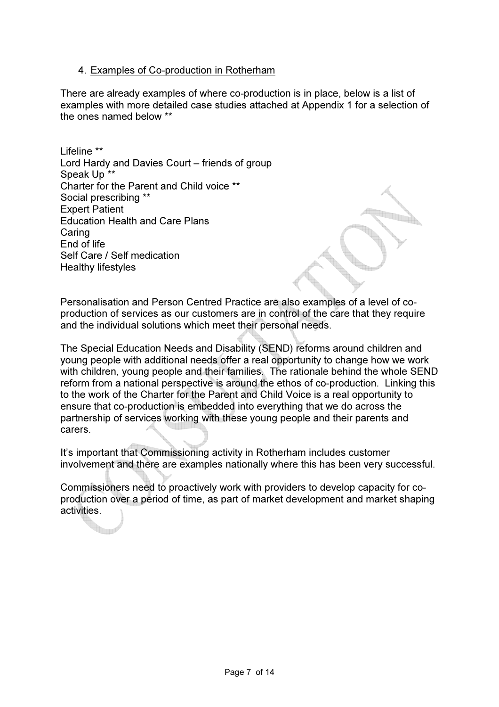#### 4. Examples of Co-production in Rotherham

There are already examples of where co-production is in place, below is a list of examples with more detailed case studies attached at Appendix 1 for a selection of the ones named below \*\*

Lifeline \*\* Lord Hardy and Davies Court – friends of group Speak Up \*\* Charter for the Parent and Child voice \*\* Social prescribing \*\* Expert Patient Education Health and Care Plans Caring End of life Self Care / Self medication Healthy lifestyles

Personalisation and Person Centred Practice are also examples of a level of coproduction of services as our customers are in control of the care that they require and the individual solutions which meet their personal needs.

The Special Education Needs and Disability (SEND) reforms around children and young people with additional needs offer a real opportunity to change how we work with children, young people and their families. The rationale behind the whole SEND reform from a national perspective is around the ethos of co-production. Linking this to the work of the Charter for the Parent and Child Voice is a real opportunity to ensure that co-production is embedded into everything that we do across the partnership of services working with these young people and their parents and carers.

It's important that Commissioning activity in Rotherham includes customer involvement and there are examples nationally where this has been very successful.

Commissioners need to proactively work with providers to develop capacity for coproduction over a period of time, as part of market development and market shaping activities.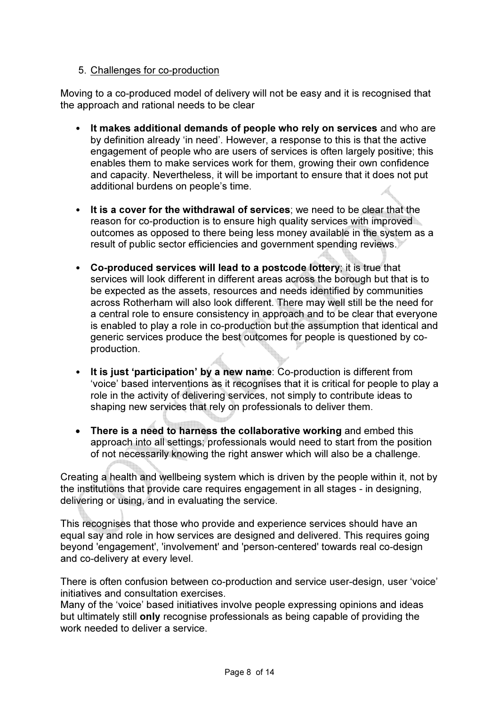#### 5. Challenges for co-production

Moving to a co-produced model of delivery will not be easy and it is recognised that the approach and rational needs to be clear

- It makes additional demands of people who rely on services and who are by definition already 'in need'. However, a response to this is that the active engagement of people who are users of services is often largely positive; this enables them to make services work for them, growing their own confidence and capacity. Nevertheless, it will be important to ensure that it does not put additional burdens on people's time.
- It is a cover for the withdrawal of services; we need to be clear that the reason for co-production is to ensure high quality services with improved outcomes as opposed to there being less money available in the system as a result of public sector efficiencies and government spending reviews.
- Co-produced services will lead to a postcode lottery; it is true that services will look different in different areas across the borough but that is to be expected as the assets, resources and needs identified by communities across Rotherham will also look different. There may well still be the need for a central role to ensure consistency in approach and to be clear that everyone is enabled to play a role in co-production but the assumption that identical and generic services produce the best outcomes for people is questioned by coproduction.
- It is just 'participation' by a new name: Co-production is different from 'voice' based interventions as it recognises that it is critical for people to play a role in the activity of delivering services, not simply to contribute ideas to shaping new services that rely on professionals to deliver them.
- There is a need to harness the collaborative working and embed this approach into all settings; professionals would need to start from the position of not necessarily knowing the right answer which will also be a challenge.

Creating a health and wellbeing system which is driven by the people within it, not by the institutions that provide care requires engagement in all stages - in designing, delivering or using, and in evaluating the service.

This recognises that those who provide and experience services should have an equal say and role in how services are designed and delivered. This requires going beyond 'engagement', 'involvement' and 'person-centered' towards real co-design and co-delivery at every level.

There is often confusion between co-production and service user-design, user 'voice' initiatives and consultation exercises.

Many of the 'voice' based initiatives involve people expressing opinions and ideas but ultimately still only recognise professionals as being capable of providing the work needed to deliver a service.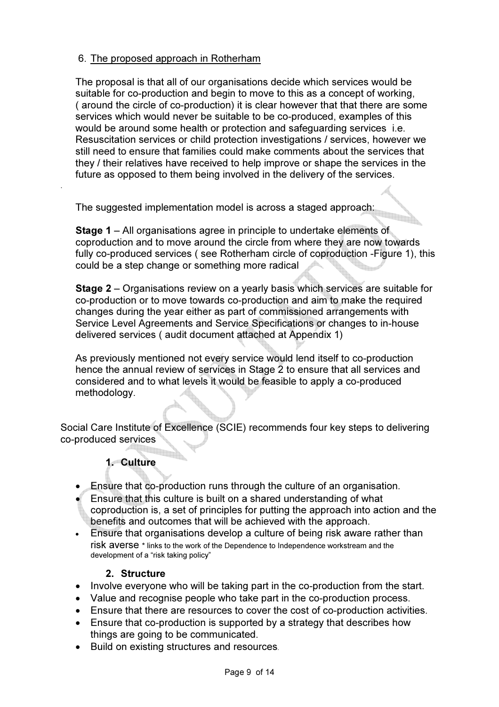# 6. The proposed approach in Rotherham

The proposal is that all of our organisations decide which services would be suitable for co-production and begin to move to this as a concept of working, ( around the circle of co-production) it is clear however that that there are some services which would never be suitable to be co-produced, examples of this would be around some health or protection and safeguarding services i.e. Resuscitation services or child protection investigations / services, however we still need to ensure that families could make comments about the services that they / their relatives have received to help improve or shape the services in the future as opposed to them being involved in the delivery of the services.

The suggested implementation model is across a staged approach:

Stage 1 – All organisations agree in principle to undertake elements of coproduction and to move around the circle from where they are now towards fully co-produced services ( see Rotherham circle of coproduction -Figure 1), this could be a step change or something more radical

Stage 2 – Organisations review on a yearly basis which services are suitable for co-production or to move towards co-production and aim to make the required changes during the year either as part of commissioned arrangements with Service Level Agreements and Service Specifications or changes to in-house delivered services ( audit document attached at Appendix 1)

As previously mentioned not every service would lend itself to co-production hence the annual review of services in Stage 2 to ensure that all services and considered and to what levels it would be feasible to apply a co-produced methodology.

Social Care Institute of Excellence (SCIE) recommends four key steps to delivering co-produced services

# 1. Culture

.

- Ensure that co-production runs through the culture of an organisation.
- Ensure that this culture is built on a shared understanding of what coproduction is, a set of principles for putting the approach into action and the benefits and outcomes that will be achieved with the approach.
- Ensure that organisations develop a culture of being risk aware rather than risk averse \* links to the work of the Dependence to Independence workstream and the development of a "risk taking policy"

#### 2. Structure

- Involve everyone who will be taking part in the co-production from the start.
- Value and recognise people who take part in the co-production process.
- Ensure that there are resources to cover the cost of co-production activities.
- Ensure that co-production is supported by a strategy that describes how things are going to be communicated.
- Build on existing structures and resources.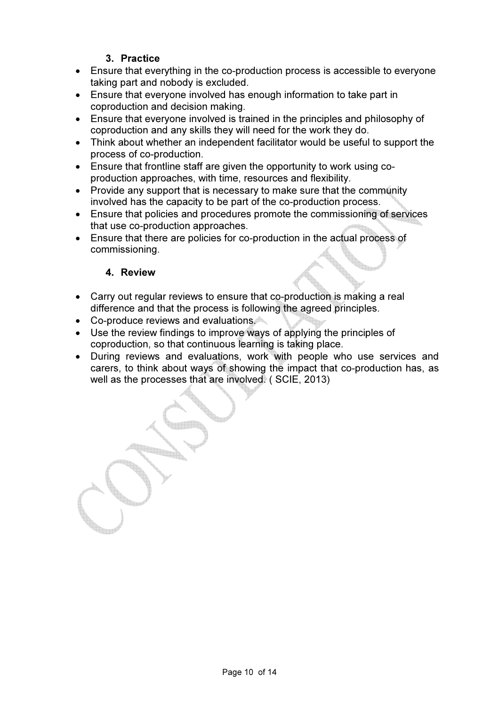# 3. Practice

- Ensure that everything in the co-production process is accessible to everyone taking part and nobody is excluded.
- Ensure that everyone involved has enough information to take part in coproduction and decision making.
- Ensure that everyone involved is trained in the principles and philosophy of coproduction and any skills they will need for the work they do.
- Think about whether an independent facilitator would be useful to support the process of co-production.
- Ensure that frontline staff are given the opportunity to work using coproduction approaches, with time, resources and flexibility.
- Provide any support that is necessary to make sure that the community involved has the capacity to be part of the co-production process.
- Ensure that policies and procedures promote the commissioning of services that use co-production approaches.
- Ensure that there are policies for co-production in the actual process of commissioning.

# 4. Review

- Carry out regular reviews to ensure that co-production is making a real difference and that the process is following the agreed principles.
- Co-produce reviews and evaluations.
- Use the review findings to improve ways of applying the principles of coproduction, so that continuous learning is taking place.
- During reviews and evaluations, work with people who use services and carers, to think about ways of showing the impact that co-production has, as well as the processes that are involved. ( SCIE, 2013)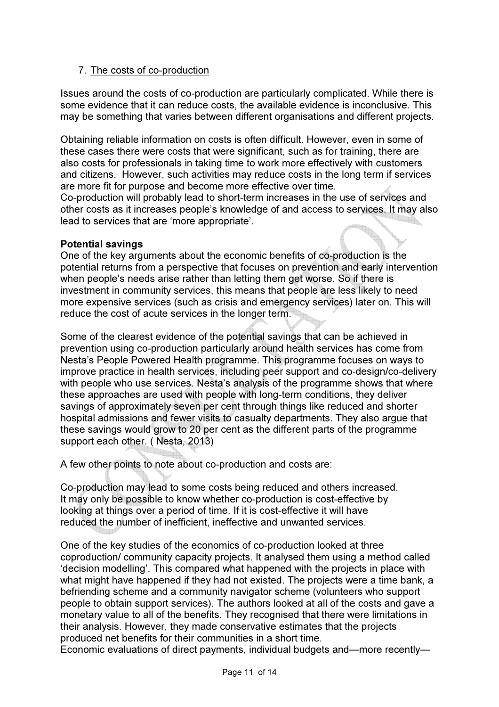### 7. The costs of co-production

Issues around the costs of co-production are particularly complicated. While there is some evidence that it can reduce costs, the available evidence is inconclusive. This may be something that varies between different organisations and different projects.

Obtaining reliable information on costs is often difficult. However, even in some of these cases there were costs that were significant, such as for training, there are also costs for professionals in taking time to work more effectively with customers and citizens. However, such activities may reduce costs in the long term if services are more fit for purpose and become more effective over time.

Co-production will probably lead to short-term increases in the use of services and other costs as it increases people's knowledge of and access to services. It may also lead to services that are 'more appropriate'.

#### Potential savings

One of the key arguments about the economic benefits of co-production is the potential returns from a perspective that focuses on prevention and early intervention when people's needs arise rather than letting them get worse. So if there is investment in community services, this means that people are less likely to need more expensive services (such as crisis and emergency services) later on. This will reduce the cost of acute services in the longer term.

Some of the clearest evidence of the potential savings that can be achieved in prevention using co-production particularly around health services has come from Nesta's People Powered Health programme. This programme focuses on ways to improve practice in health services, including peer support and co-design/co-delivery with people who use services. Nesta's analysis of the programme shows that where these approaches are used with people with long-term conditions, they deliver savings of approximately seven per cent through things like reduced and shorter hospital admissions and fewer visits to casualty departments. They also argue that these savings would grow to 20 per cent as the different parts of the programme support each other. ( Nesta, 2013)

A few other points to note about co-production and costs are:

Co-production may lead to some costs being reduced and others increased. It may only be possible to know whether co-production is cost-effective by looking at things over a period of time. If it is cost-effective it will have reduced the number of inefficient, ineffective and unwanted services.

One of the key studies of the economics of co-production looked at three coproduction/ community capacity projects. It analysed them using a method called 'decision modelling'. This compared what happened with the projects in place with what might have happened if they had not existed. The projects were a time bank, a befriending scheme and a community navigator scheme (volunteers who support people to obtain support services). The authors looked at all of the costs and gave a monetary value to all of the benefits. They recognised that there were limitations in their analysis. However, they made conservative estimates that the projects produced net benefits for their communities in a short time.

Economic evaluations of direct payments, individual budgets and—more recently—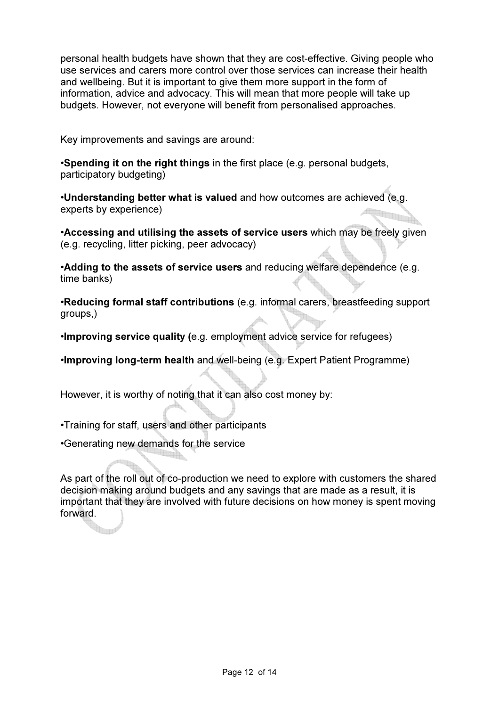personal health budgets have shown that they are cost-effective. Giving people who use services and carers more control over those services can increase their health and wellbeing. But it is important to give them more support in the form of information, advice and advocacy. This will mean that more people will take up budgets. However, not everyone will benefit from personalised approaches.

Key improvements and savings are around:

•Spending it on the right things in the first place (e.g. personal budgets, participatory budgeting)

•Understanding better what is valued and how outcomes are achieved (e.g. experts by experience)

•Accessing and utilising the assets of service users which may be freely given (e.g. recycling, litter picking, peer advocacy)

•Adding to the assets of service users and reducing welfare dependence (e.g. time banks)

•Reducing formal staff contributions (e.g. informal carers, breastfeeding support groups,)

•Improving service quality (e.g. employment advice service for refugees)

•Improving long-term health and well-being (e.g. Expert Patient Programme)

However, it is worthy of noting that it can also cost money by:

•Training for staff, users and other participants

•Generating new demands for the service

As part of the roll out of co-production we need to explore with customers the shared decision making around budgets and any savings that are made as a result, it is important that they are involved with future decisions on how money is spent moving forward.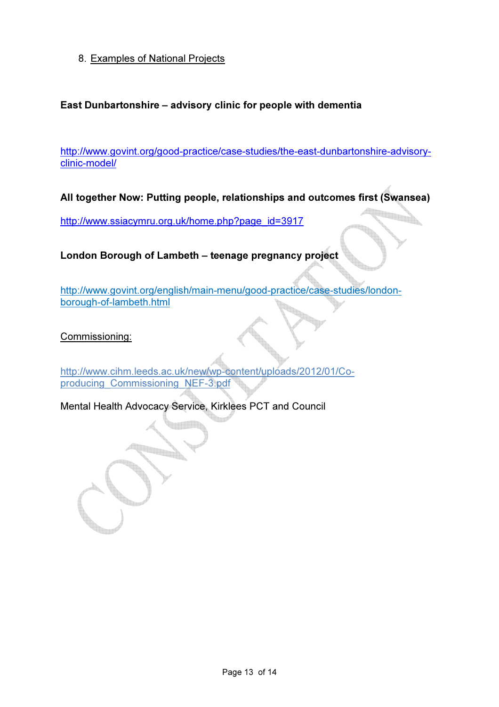8. Examples of National Projects

# East Dunbartonshire – advisory clinic for people with dementia

http://www.govint.org/good-practice/case-studies/the-east-dunbartonshire-advisoryclinic-model/

All together Now: Putting people, relationships and outcomes first (Swansea)

<u>gan</u>

http://www.ssiacymru.org.uk/home.php?page\_id=3917

London Borough of Lambeth – teenage pregnancy project

http://www.govint.org/english/main-menu/good-practice/case-studies/londonborough-of-lambeth.html

Commissioning:

http://www.cihm.leeds.ac.uk/new/wp-content/uploads/2012/01/Coproducing\_Commissioning\_NEF-3.pdf

Mental Health Advocacy Service, Kirklees PCT and Council